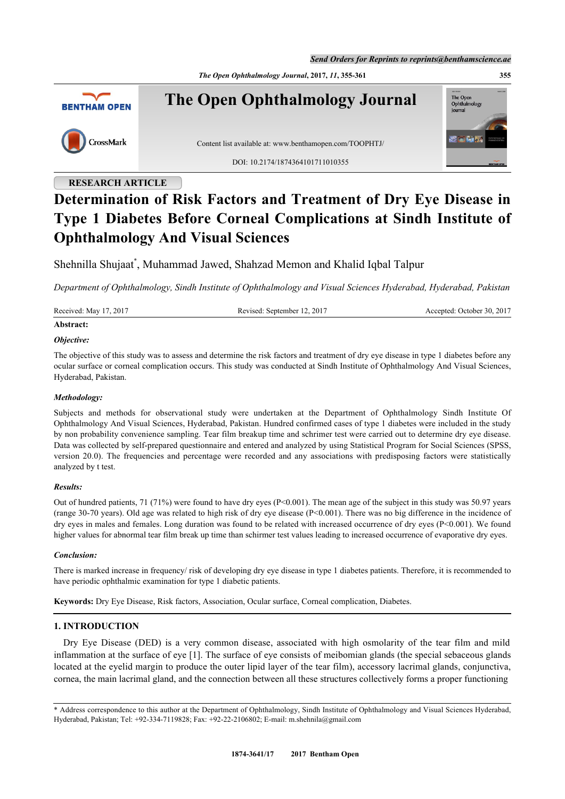*Send Orders for Reprints to reprints@benthamscience.ae*

*The Open Ophthalmology Journal***, 2017,** *11***, 355-361 355**



**The Open Ophthalmology Journal**



Content list available at: [www.benthamopen.com/TOOPHTJ/](http://www.benthamopen.com/TOOPHTJ/)

DOI: [10.2174/1874364101711010355](http://dx.doi.org/10.2174/1874364101711010355)

# **RESEARCH ARTICLE**

# **Determination of Risk Factors and Treatment of Dry Eye Disease in Type 1 Diabetes Before Corneal Complications at Sindh Institute of Ophthalmology And Visual Sciences**

Shehnilla Shujaat[\\*](#page-0-0) , Muhammad Jawed, Shahzad Memon and Khalid Iqbal Talpur

*Department of Ophthalmology, Sindh Institute of Ophthalmology and Visual Sciences Hyderabad, Hyderabad, Pakistan*

Received: May 17, 2017 Revised: September 12, 2017 Accepted: October 30, 2017

# **Abstract:**

# *Objective:*

The objective of this study was to assess and determine the risk factors and treatment of dry eye disease in type 1 diabetes before any ocular surface or corneal complication occurs. This study was conducted at Sindh Institute of Ophthalmology And Visual Sciences, Hyderabad, Pakistan.

# *Methodology:*

Subjects and methods for observational study were undertaken at the Department of Ophthalmology Sindh Institute Of Ophthalmology And Visual Sciences, Hyderabad, Pakistan. Hundred confirmed cases of type 1 diabetes were included in the study by non probability convenience sampling. Tear film breakup time and schrimer test were carried out to determine dry eye disease. Data was collected by self-prepared questionnaire and entered and analyzed by using Statistical Program for Social Sciences (SPSS, version 20.0). The frequencies and percentage were recorded and any associations with predisposing factors were statistically analyzed by t test.

# *Results:*

Out of hundred patients, 71 (71%) were found to have dry eyes ( $P<0.001$ ). The mean age of the subject in this study was 50.97 years (range 30-70 years). Old age was related to high risk of dry eye disease  $(P< 0.001)$ . There was no big difference in the incidence of dry eyes in males and females. Long duration was found to be related with increased occurrence of dry eyes (P<0.001). We found higher values for abnormal tear film break up time than schirmer test values leading to increased occurrence of evaporative dry eyes.

# *Conclusion:*

There is marked increase in frequency/ risk of developing dry eye disease in type 1 diabetes patients. Therefore, it is recommended to have periodic ophthalmic examination for type 1 diabetic patients.

**Keywords:** Dry Eye Disease, Risk factors, Association, Ocular surface, Corneal complication, Diabetes.

# **1. INTRODUCTION**

Dry Eye Disease (DED) is a very common disease, associated with high osmolarity of the tear film and mild inflammation at the surface of eye [[1\]](#page-5-0). The surface of eye consists of meibomian glands (the special sebaceous glands located at the eyelid margin to produce the outer lipid layer of the tear film), accessory lacrimal glands, conjunctiva, cornea, the main lacrimal gland, and the connection between all these structures collectively forms a proper functioning

The Open<br>Ophthalm

lournal

<span id="page-0-0"></span><sup>\*</sup> Address correspondence to this author at the Department of Ophthalmology, Sindh Institute of Ophthalmology and Visual Sciences Hyderabad, Hyderabad, Pakistan; Tel: +92-334-7119828; Fax: +92-22-2106802; E-mail: [m.shehnila@gmail.com](mailto:m.shehnila@gmail.com)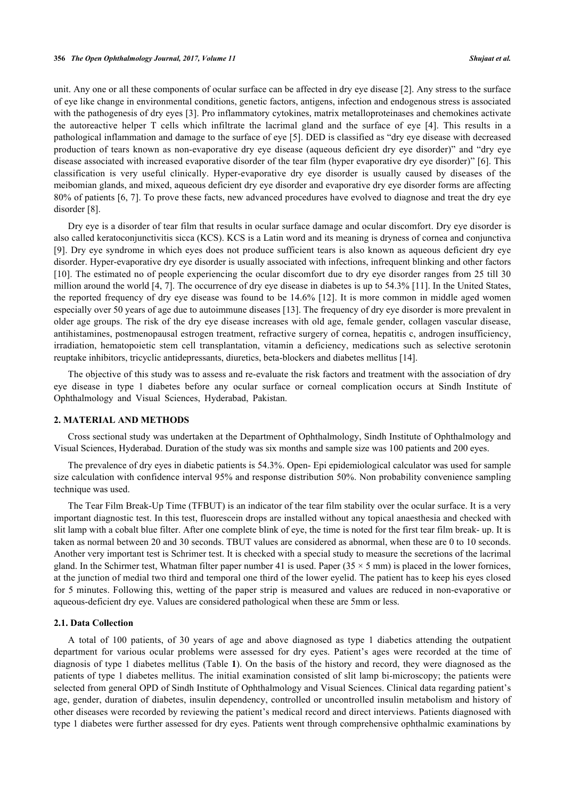unit. Any one or all these components of ocular surface can be affected in dry eye disease [[2\]](#page-5-1). Any stress to the surface of eye like change in environmental conditions, genetic factors, antigens, infection and endogenous stress is associated with the pathogenesis of dry eyes [[3\]](#page-5-2). Pro inflammatory cytokines, matrix metalloproteinases and chemokines activate the autoreactive helper T cells which infiltrate the lacrimal gland and the surface of eye[[4\]](#page-5-3). This results in a pathological inflammation and damage to the surface of eye [[5\]](#page-5-4). DED is classified as "dry eye disease with decreased production of tears known as non-evaporative dry eye disease (aqueous deficient dry eye disorder)" and "dry eye disease associated with increased evaporative disorder of the tear film (hyper evaporative dry eye disorder)" [[6\]](#page-5-5). This classification is very useful clinically. Hyper-evaporative dry eye disorder is usually caused by diseases of the meibomian glands, and mixed, aqueous deficient dry eye disorder and evaporative dry eye disorder forms are affecting 80% of patients [\[6](#page-5-5), [7\]](#page-5-6). To prove these facts, new advanced procedures have evolved to diagnose and treat the dry eye disorder [\[8](#page-5-7)].

Dry eye is a disorder of tear film that results in ocular surface damage and ocular discomfort. Dry eye disorder is also called keratoconjunctivitis sicca (KCS). KCS is a Latin word and its meaning is dryness of cornea and conjunctiva [\[9](#page-5-8)]. Dry eye syndrome in which eyes does not produce sufficient tears is also known as aqueous deficient dry eye disorder. Hyper-evaporative dry eye disorder is usually associated with infections, infrequent blinking and other factors [\[10](#page-5-9)]. The estimated no of people experiencing the ocular discomfort due to dry eye disorder ranges from 25 till 30 million around the world [\[4](#page-5-3), [7](#page-5-6)]. The occurrence of dry eye disease in diabetes is up to 54.3% [[11\]](#page-5-10). In the United States, the reported frequency of dry eye disease was found to be 14.6% [[12](#page-6-0)]. It is more common in middle aged women especially over 50 years of age due to autoimmune diseases [\[13](#page-6-1)]. The frequency of dry eye disorder is more prevalent in older age groups. The risk of the dry eye disease increases with old age, female gender, collagen vascular disease, antihistamines, postmenopausal estrogen treatment, refractive surgery of cornea, hepatitis c, androgen insufficiency, irradiation, hematopoietic stem cell transplantation, vitamin a deficiency, medications such as selective serotonin reuptake inhibitors, tricyclic antidepressants, diuretics, beta-blockers and diabetes mellitus [\[14](#page-6-2)].

The objective of this study was to assess and re-evaluate the risk factors and treatment with the association of dry eye disease in type 1 diabetes before any ocular surface or corneal complication occurs at Sindh Institute of Ophthalmology and Visual Sciences, Hyderabad, Pakistan.

#### **2. MATERIAL AND METHODS**

Cross sectional study was undertaken at the Department of Ophthalmology, Sindh Institute of Ophthalmology and Visual Sciences, Hyderabad. Duration of the study was six months and sample size was 100 patients and 200 eyes.

The prevalence of dry eyes in diabetic patients is 54.3%. Open- Epi epidemiological calculator was used for sample size calculation with confidence interval 95% and response distribution 50%. Non probability convenience sampling technique was used.

The Tear Film Break-Up Time (TFBUT) is an indicator of the tear film stability over the ocular surface. It is a very important diagnostic test. In this test, fluorescein drops are installed without any topical anaesthesia and checked with slit lamp with a cobalt blue filter. After one complete blink of eye, the time is noted for the first tear film break- up. It is taken as normal between 20 and 30 seconds. TBUT values are considered as abnormal, when these are 0 to 10 seconds. Another very important test is Schrimer test. It is checked with a special study to measure the secretions of the lacrimal gland. In the Schirmer test, Whatman filter paper number 41 is used. Paper  $(35 \times 5 \text{ mm})$  is placed in the lower fornices, at the junction of medial two third and temporal one third of the lower eyelid. The patient has to keep his eyes closed for 5 minutes. Following this, wetting of the paper strip is measured and values are reduced in non-evaporative or aqueous-deficient dry eye. Values are considered pathological when these are 5mm or less.

## **2.1. Data Collection**

A total of 100 patients, of 30 years of age and above diagnosed as type 1 diabetics attending the outpatient department for various ocular problems were assessed for dry eyes. Patient's ages were recorded at the time of diagnosis of type 1 diabetes mellitus (Table **[1](#page-2-0)**). On the basis of the history and record, they were diagnosed as the patients of type 1 diabetes mellitus. The initial examination consisted of slit lamp bi-microscopy; the patients were selected from general OPD of Sindh Institute of Ophthalmology and Visual Sciences. Clinical data regarding patient's age, gender, duration of diabetes, insulin dependency, controlled or uncontrolled insulin metabolism and history of other diseases were recorded by reviewing the patient's medical record and direct interviews. Patients diagnosed with type 1 diabetes were further assessed for dry eyes. Patients went through comprehensive ophthalmic examinations by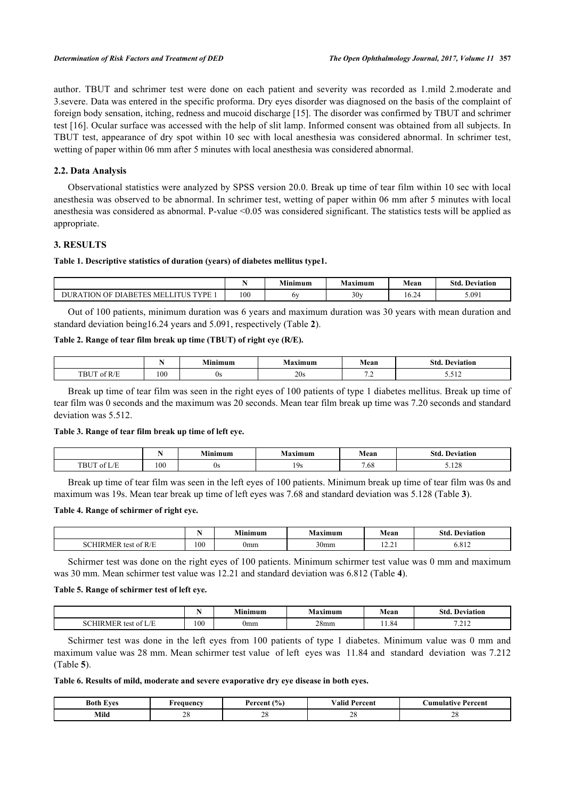author. TBUT and schrimer test were done on each patient and severity was recorded as 1.mild 2.moderate and 3.severe. Data was entered in the specific proforma. Dry eyes disorder was diagnosed on the basis of the complaint of foreign body sensation, itching, redness and mucoid discharge [[15\]](#page-6-3). The disorder was confirmed by TBUT and schrimer test [\[16](#page-6-4)]. Ocular surface was accessed with the help of slit lamp. Informed consent was obtained from all subjects. In TBUT test, appearance of dry spot within 10 sec with local anesthesia was considered abnormal. In schrimer test, wetting of paper within 06 mm after 5 minutes with local anesthesia was considered abnormal.

## **2.2. Data Analysis**

Observational statistics were analyzed by SPSS version 20.0. Break up time of tear film within 10 sec with local anesthesia was observed to be abnormal. In schrimer test, wetting of paper within 06 mm after 5 minutes with local anesthesia was considered as abnormal. P-value <0.05 was considered significant. The statistics tests will be applied as appropriate.

# **3. RESULTS**

#### <span id="page-2-0"></span>**Table 1. Descriptive statistics of duration (years) of diabetes mellitus type1.**

|                                                                                                     |     | .<br>Minimum | <b>B</b> <i>A</i><br>Maximum | Mean                              | Std.<br>$\mathbf{r}$<br>. Deviation |
|-----------------------------------------------------------------------------------------------------|-----|--------------|------------------------------|-----------------------------------|-------------------------------------|
| <b>TVDE</b><br><b>TEQ</b><br><b>DURA</b><br><b>ITHE</b><br>MEI<br>DIARET <sub>1</sub><br>ΩE<br>'ION | 100 | 6x           | 30v                          | $\overline{\phantom{a}}$<br>16.24 | 5.091                               |

Out of 100 patients, minimum duration was 6 years and maximum duration was 30 years with mean duration and standard deviation being16.24 years and 5.091, respectively (Table **[2](#page-2-1)**).

## <span id="page-2-1"></span>**Table 2. Range of tear film break up time (TBUT) of right eye (R/E).**

|                                                                                                                                          | - - | imum | Maximum | Mean                               | Std<br><b>Deviation</b> |
|------------------------------------------------------------------------------------------------------------------------------------------|-----|------|---------|------------------------------------|-------------------------|
| CD/D<br>TRL<br>. Y YM<br>the contract of the contract of the contract of the contract of the contract of the contract of the contract of | 100 | νo   | 20s     | $\overline{\phantom{a}}$<br>$\sim$ | 3.014                   |

Break up time of tear film was seen in the right eyes of 100 patients of type 1 diabetes mellitus. Break up time of tear film was 0 seconds and the maximum was 20 seconds. Mean tear film break up time was 7.20 seconds and standard deviation was 5.512.

# <span id="page-2-2"></span>**Table 3. Range of tear film break up time of left eye.**

|                                 |     | .<br>Minimum | Maximum      | Mean        | Std.<br>Deviation |
|---------------------------------|-----|--------------|--------------|-------------|-------------------|
| <b>TBUT</b><br>$\sqrt{1}$<br>∩t | 100 | <b>Us</b>    | ۰ο.<br>1 J J | - C<br>7.68 | 120<br>3.140      |

Break up time of tear film was seen in the left eyes of 100 patients. Minimum break up time of tear film was 0s and maximum was 19s. Mean tear break up time of left eyes was 7.68 and standard deviation was 5.128 (Table **[3](#page-2-2)**).

#### <span id="page-2-3"></span>**Table 4. Range of schirmer of right eye.**

|                                             | - - | Minimum                                                | Maximum          | Mean                                                         | Std.<br>Deviation |
|---------------------------------------------|-----|--------------------------------------------------------|------------------|--------------------------------------------------------------|-------------------|
| of $R/F$<br><b>COLOR</b><br>$\sim$<br>4 E R | 100 | $\cdots$<br>0mm<br>the contract of the contract of the | 30 <sub>mm</sub> | $\sim$ $\sim$<br>$\cdots$<br>the contract of the contract of | 012<br>0.812      |

Schirmer test was done on the right eyes of 100 patients. Minimum schirmer test value was 0 mm and maximum was 30 mm. Mean schirmer test value was 12.21 and standard deviation was 6.812 (Table **[4](#page-2-3)**).

#### <span id="page-2-4"></span>**Table 5. Range of schirmer test of left eye.**

|                                                             |          | Minimum                     | $\sim$<br><b>Maximum</b> | Mean | Std.<br>Deviation |
|-------------------------------------------------------------|----------|-----------------------------|--------------------------|------|-------------------|
| <b>CHANGE</b><br>$\sim$ $\sim$<br>$T \Delta C^+$<br>ΔŤ<br>к | 100<br>. | $\cdots$<br>0 <sub>mm</sub> | 28 <sub>mm</sub>         | 1.84 | 7.11<br>.         |

Schirmer test was done in the left eyes from 100 patients of type 1 diabetes. Minimum value was 0 mm and maximum value was 28 mm. Mean schirmer test value of left eyes was 11.84 and standard deviation was 7.212 (Table **[5](#page-2-4)**).

#### <span id="page-2-5"></span>**Table 6. Results of mild, moderate and severe evaporative dry eye disease in both eyes.**

| -<br>Both<br><b>West</b><br>. | requency           | (9/0)<br>Percent         | $\mathbf{v}$<br>⁄ alic<br>Percent | Percent<br>∖umu<br>ilativa |
|-------------------------------|--------------------|--------------------------|-----------------------------------|----------------------------|
| Mild<br>____                  | $\sim$<br>ΔC<br>__ | $\cap$<br>$\sim$ 0<br>__ | $\sim$<br>∠∈<br>__                | $\sim$<br>້<br>__          |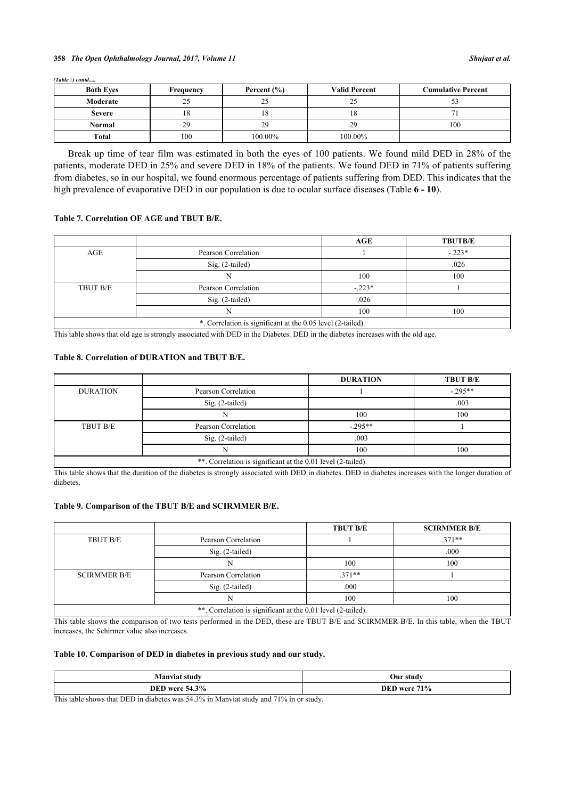#### **358** *The Open Ophthalmology Journal, 2017, Volume 11 Shujaat et al.*

*(Table ) contd.....*

| <b>Both Eves</b> | Frequency | Percent $(\% )$ | <b>Valid Percent</b> | <b>Cumulative Percent</b> |
|------------------|-----------|-----------------|----------------------|---------------------------|
| Moderate         |           | ∠~              |                      |                           |
| <b>Severe</b>    | 10.       |                 | Ιð                   |                           |
| Normal           | 29        | 29              | 29                   | 100                       |
| Total            | 100       | 100.00%         | 100.00%              |                           |

Break up time of tear film was estimated in both the eyes of 100 patients. We found mild DED in 28% of the patients, moderate DED in 25% and severe DED in 18% of the patients. We found DED in 71% of patients suffering from diabetes, so in our hospital, we found enormous percentage of patients suffering from DED. This indicates that the high prevalence of evaporative DED in our population is due to ocular surface diseases (Table **[6](#page-2-5) - [10](#page-3-0)**).

#### **Table 7. Correlation OF AGE and TBUT B/E.**

|          |                                                             | AGE      | <b>TBUTB/E</b> |
|----------|-------------------------------------------------------------|----------|----------------|
| AGE      | Pearson Correlation                                         |          | $-.223*$       |
|          | $Sig. (2-tailed)$                                           |          | .026           |
|          |                                                             | 100      | 100            |
| TBUT B/E | Pearson Correlation                                         | $-.223*$ |                |
|          | Sig. (2-tailed)                                             | .026     |                |
|          |                                                             | 100      | 100            |
|          | *. Correlation is significant at the 0.05 level (2-tailed). |          |                |

This table shows that old age is strongly associated with DED in the Diabetes. DED in the diabetes increases with the old age.

#### **Table 8. Correlation of DURATION and TBUT B/E.**

|                 |                                                              | <b>DURATION</b> | <b>TBUT B/E</b> |
|-----------------|--------------------------------------------------------------|-----------------|-----------------|
| <b>DURATION</b> | Pearson Correlation                                          |                 | $-295**$        |
|                 | Sig. (2-tailed)                                              |                 | .003            |
|                 |                                                              | 100             | 100             |
| TBUT B/E        | Pearson Correlation                                          | $-295**$        |                 |
|                 | Sig. (2-tailed)                                              | .003            |                 |
|                 |                                                              | 100             | 100             |
|                 | **. Correlation is significant at the 0.01 level (2-tailed). |                 |                 |

This table shows that the duration of the diabetes is strongly associated with DED in diabetes. DED in diabetes increases with the longer duration of diabetes.

#### **Table 9. Comparison of the TBUT B/E and SCIRMMER B/E.**

|                                                              |                     | <b>TBUT B/E</b> | <b>SCIRMMER B/E</b> |  |
|--------------------------------------------------------------|---------------------|-----------------|---------------------|--|
| TBUT B/E                                                     | Pearson Correlation |                 | $.371**$            |  |
|                                                              | $Sig. (2-tailed)$   |                 | .000                |  |
|                                                              |                     | 100             | 100                 |  |
| <b>SCIRMMER B/E</b>                                          | Pearson Correlation | $371**$         |                     |  |
|                                                              | Sig. (2-tailed)     | .000            |                     |  |
| 100<br>100                                                   |                     |                 |                     |  |
| **. Correlation is significant at the 0.01 level (2-tailed). |                     |                 |                     |  |

This table shows the comparison of two tests performed in the DED, these are TBUT B/E and SCIRMMER B/E. In this table, when the TBUT increases, the Schirmer value also increases.

#### <span id="page-3-0"></span>**Table 10. Comparison of DED in diabetes in previous study and our study.**

| Manviat s<br>-stud | <b>Our study</b> |
|--------------------|------------------|
| $.54.3\%$          | <b>71%</b>       |
| DED                | DED              |
| were               | <b>WATA</b>      |

This table shows that DED in diabetes was 54.3% in Manviat study and 71% in or study.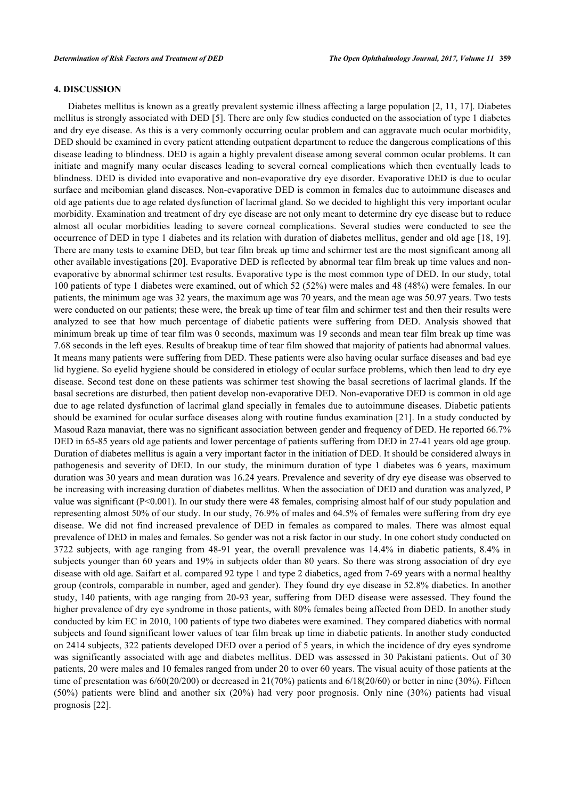# **4. DISCUSSION**

Diabetes mellitus is known as a greatly prevalent systemic illness affecting a large population [[2,](#page-5-1) [11](#page-5-10), [17\]](#page-6-5). Diabetes mellitus is strongly associated with DED [[5\]](#page-5-4). There are only few studies conducted on the association of type 1 diabetes and dry eye disease. As this is a very commonly occurring ocular problem and can aggravate much ocular morbidity, DED should be examined in every patient attending outpatient department to reduce the dangerous complications of this disease leading to blindness. DED is again a highly prevalent disease among several common ocular problems. It can initiate and magnify many ocular diseases leading to several corneal complications which then eventually leads to blindness. DED is divided into evaporative and non-evaporative dry eye disorder. Evaporative DED is due to ocular surface and meibomian gland diseases. Non-evaporative DED is common in females due to autoimmune diseases and old age patients due to age related dysfunction of lacrimal gland. So we decided to highlight this very important ocular morbidity. Examination and treatment of dry eye disease are not only meant to determine dry eye disease but to reduce almost all ocular morbidities leading to severe corneal complications. Several studies were conducted to see the occurrence of DED in type 1 diabetes and its relation with duration of diabetes mellitus, gender and old age [[18](#page-6-6), [19\]](#page-6-7). There are many tests to examine DED, but tear film break up time and schirmer test are the most significant among all other available investigations [\[20](#page-6-8)]. Evaporative DED is reflected by abnormal tear film break up time values and nonevaporative by abnormal schirmer test results. Evaporative type is the most common type of DED. In our study, total 100 patients of type 1 diabetes were examined, out of which 52 (52%) were males and 48 (48%) were females. In our patients, the minimum age was 32 years, the maximum age was 70 years, and the mean age was 50.97 years. Two tests were conducted on our patients; these were, the break up time of tear film and schirmer test and then their results were analyzed to see that how much percentage of diabetic patients were suffering from DED. Analysis showed that minimum break up time of tear film was 0 seconds, maximum was 19 seconds and mean tear film break up time was 7.68 seconds in the left eyes. Results of breakup time of tear film showed that majority of patients had abnormal values. It means many patients were suffering from DED. These patients were also having ocular surface diseases and bad eye lid hygiene. So eyelid hygiene should be considered in etiology of ocular surface problems, which then lead to dry eye disease. Second test done on these patients was schirmer test showing the basal secretions of lacrimal glands. If the basal secretions are disturbed, then patient develop non-evaporative DED. Non-evaporative DED is common in old age due to age related dysfunction of lacrimal gland specially in females due to autoimmune diseases. Diabetic patients should be examined for ocular surface diseases along with routine fundus examination [[21\]](#page-6-9). In a study conducted by Masoud Raza manaviat, there was no significant association between gender and frequency of DED. He reported 66.7% DED in 65-85 years old age patients and lower percentage of patients suffering from DED in 27-41 years old age group. Duration of diabetes mellitus is again a very important factor in the initiation of DED. It should be considered always in pathogenesis and severity of DED. In our study, the minimum duration of type 1 diabetes was 6 years, maximum duration was 30 years and mean duration was 16.24 years. Prevalence and severity of dry eye disease was observed to be increasing with increasing duration of diabetes mellitus. When the association of DED and duration was analyzed, P value was significant (P<0.001). In our study there were 48 females, comprising almost half of our study population and representing almost 50% of our study. In our study, 76.9% of males and 64.5% of females were suffering from dry eye disease. We did not find increased prevalence of DED in females as compared to males. There was almost equal prevalence of DED in males and females. So gender was not a risk factor in our study. In one cohort study conducted on 3722 subjects, with age ranging from 48-91 year, the overall prevalence was 14.4% in diabetic patients, 8.4% in subjects younger than 60 years and 19% in subjects older than 80 years. So there was strong association of dry eye disease with old age. Saifart et al. compared 92 type 1 and type 2 diabetics, aged from 7-69 years with a normal healthy group (controls, comparable in number, aged and gender). They found dry eye disease in 52.8% diabetics. In another study, 140 patients, with age ranging from 20-93 year, suffering from DED disease were assessed. They found the higher prevalence of dry eye syndrome in those patients, with 80% females being affected from DED. In another study conducted by kim EC in 2010, 100 patients of type two diabetes were examined. They compared diabetics with normal subjects and found significant lower values of tear film break up time in diabetic patients. In another study conducted on 2414 subjects, 322 patients developed DED over a period of 5 years, in which the incidence of dry eyes syndrome was significantly associated with age and diabetes mellitus. DED was assessed in 30 Pakistani patients. Out of 30 patients, 20 were males and 10 females ranged from under 20 to over 60 years. The visual acuity of those patients at the time of presentation was  $6/60(20/200)$  or decreased in 21(70%) patients and  $6/18(20/60)$  or better in nine (30%). Fifteen (50%) patients were blind and another six (20%) had very poor prognosis. Only nine (30%) patients had visual prognosis [\[22](#page-6-10)].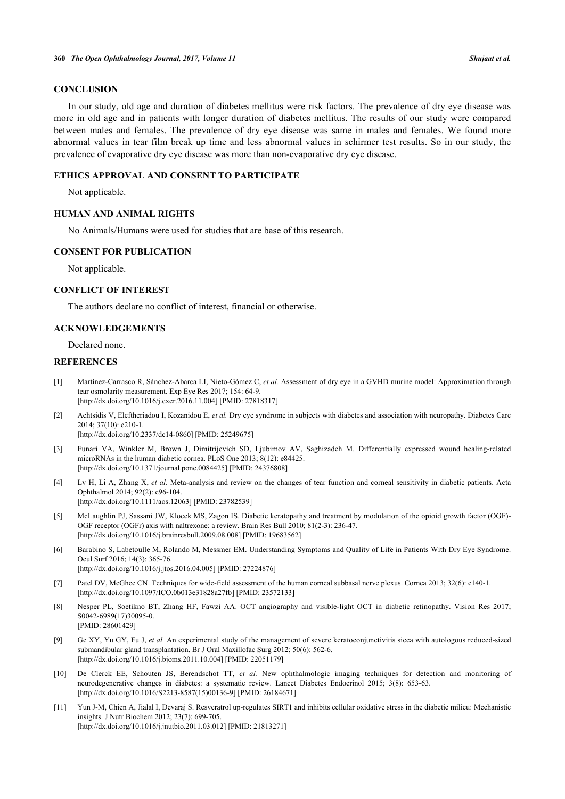# **CONCLUSION**

In our study, old age and duration of diabetes mellitus were risk factors. The prevalence of dry eye disease was more in old age and in patients with longer duration of diabetes mellitus. The results of our study were compared between males and females. The prevalence of dry eye disease was same in males and females. We found more abnormal values in tear film break up time and less abnormal values in schirmer test results. So in our study, the prevalence of evaporative dry eye disease was more than non-evaporative dry eye disease.

### **ETHICS APPROVAL AND CONSENT TO PARTICIPATE**

Not applicable.

# **HUMAN AND ANIMAL RIGHTS**

No Animals/Humans were used for studies that are base of this research.

#### **CONSENT FOR PUBLICATION**

Not applicable.

# **CONFLICT OF INTEREST**

The authors declare no conflict of interest, financial or otherwise.

# **ACKNOWLEDGEMENTS**

Declared none.

#### **REFERENCES**

- <span id="page-5-0"></span>[1] Martínez-Carrasco R, Sánchez-Abarca LI, Nieto-Gómez C, *et al.* Assessment of dry eye in a GVHD murine model: Approximation through tear osmolarity measurement. Exp Eye Res 2017; 154: 64-9. [\[http://dx.doi.org/10.1016/j.exer.2016.11.004\]](http://dx.doi.org/10.1016/j.exer.2016.11.004) [PMID: [27818317](http://www.ncbi.nlm.nih.gov/pubmed/27818317)]
- <span id="page-5-1"></span>[2] Achtsidis V, Eleftheriadou I, Kozanidou E, *et al.* Dry eye syndrome in subjects with diabetes and association with neuropathy. Diabetes Care 2014; 37(10): e210-1. [\[http://dx.doi.org/10.2337/dc14-0860](http://dx.doi.org/10.2337/dc14-0860)] [PMID: [25249675\]](http://www.ncbi.nlm.nih.gov/pubmed/25249675)
- <span id="page-5-2"></span>[3] Funari VA, Winkler M, Brown J, Dimitrijevich SD, Ljubimov AV, Saghizadeh M. Differentially expressed wound healing-related microRNAs in the human diabetic cornea. PLoS One 2013; 8(12): e84425. [\[http://dx.doi.org/10.1371/journal.pone.0084425](http://dx.doi.org/10.1371/journal.pone.0084425)] [PMID: [24376808\]](http://www.ncbi.nlm.nih.gov/pubmed/24376808)
- <span id="page-5-3"></span>[4] Lv H, Li A, Zhang X, *et al.* Meta-analysis and review on the changes of tear function and corneal sensitivity in diabetic patients. Acta Ophthalmol 2014; 92(2): e96-104. [\[http://dx.doi.org/10.1111/aos.12063](http://dx.doi.org/10.1111/aos.12063)] [PMID: [23782539](http://www.ncbi.nlm.nih.gov/pubmed/23782539)]
- <span id="page-5-4"></span>[5] McLaughlin PJ, Sassani JW, Klocek MS, Zagon IS. Diabetic keratopathy and treatment by modulation of the opioid growth factor (OGF)- OGF receptor (OGFr) axis with naltrexone: a review. Brain Res Bull 2010; 81(2-3): 236-47. [\[http://dx.doi.org/10.1016/j.brainresbull.2009.08.008](http://dx.doi.org/10.1016/j.brainresbull.2009.08.008)] [PMID: [19683562\]](http://www.ncbi.nlm.nih.gov/pubmed/19683562)
- <span id="page-5-5"></span>[6] Barabino S, Labetoulle M, Rolando M, Messmer EM. Understanding Symptoms and Quality of Life in Patients With Dry Eye Syndrome. Ocul Surf 2016; 14(3): 365-76. [\[http://dx.doi.org/10.1016/j.jtos.2016.04.005\]](http://dx.doi.org/10.1016/j.jtos.2016.04.005) [PMID: [27224876](http://www.ncbi.nlm.nih.gov/pubmed/27224876)]
- <span id="page-5-6"></span>[7] Patel DV, McGhee CN. Techniques for wide-field assessment of the human corneal subbasal nerve plexus. Cornea 2013; 32(6): e140-1. [\[http://dx.doi.org/10.1097/ICO.0b013e31828a27fb](http://dx.doi.org/10.1097/ICO.0b013e31828a27fb)] [PMID: [23572133\]](http://www.ncbi.nlm.nih.gov/pubmed/23572133)
- <span id="page-5-7"></span>[8] Nesper PL, Soetikno BT, Zhang HF, Fawzi AA. OCT angiography and visible-light OCT in diabetic retinopathy. Vision Res 2017; S0042-6989(17)30095-0. [PMID: [28601429\]](http://www.ncbi.nlm.nih.gov/pubmed/28601429)
- <span id="page-5-8"></span>[9] Ge XY, Yu GY, Fu J, *et al.* An experimental study of the management of severe keratoconjunctivitis sicca with autologous reduced-sized submandibular gland transplantation. Br J Oral Maxillofac Surg 2012; 50(6): 562-6. [\[http://dx.doi.org/10.1016/j.bjoms.2011.10.004\]](http://dx.doi.org/10.1016/j.bjoms.2011.10.004) [PMID: [22051179](http://www.ncbi.nlm.nih.gov/pubmed/22051179)]
- <span id="page-5-9"></span>[10] De Clerck EE, Schouten JS, Berendschot TT, *et al.* New ophthalmologic imaging techniques for detection and monitoring of neurodegenerative changes in diabetes: a systematic review. Lancet Diabetes Endocrinol 2015; 3(8): 653-63. [\[http://dx.doi.org/10.1016/S2213-8587\(15\)00136-9\]](http://dx.doi.org/10.1016/S2213-8587(15)00136-9) [PMID: [26184671](http://www.ncbi.nlm.nih.gov/pubmed/26184671)]
- <span id="page-5-10"></span>[11] Yun J-M, Chien A, Jialal I, Devaraj S. Resveratrol up-regulates SIRT1 and inhibits cellular oxidative stress in the diabetic milieu: Mechanistic insights. J Nutr Biochem 2012; 23(7): 699-705. [\[http://dx.doi.org/10.1016/j.jnutbio.2011.03.012\]](http://dx.doi.org/10.1016/j.jnutbio.2011.03.012) [PMID: [21813271](http://www.ncbi.nlm.nih.gov/pubmed/21813271)]